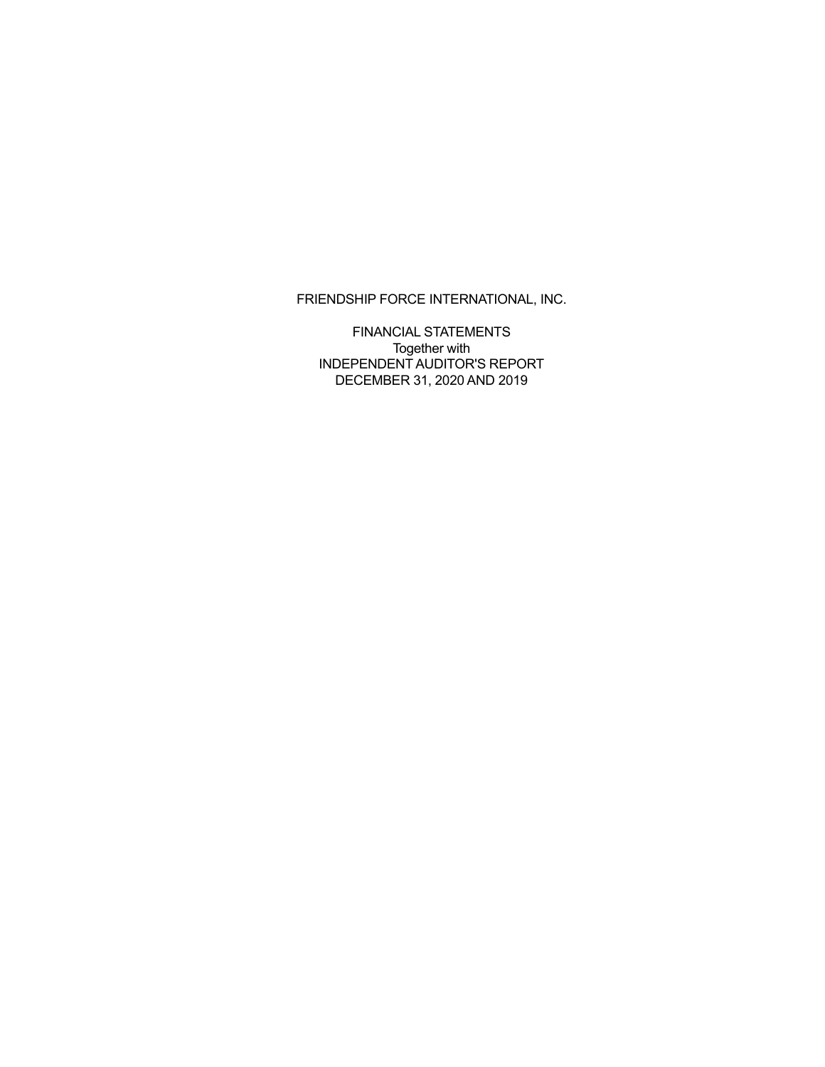FINANCIAL STATEMENTS Together with INDEPENDENT AUDITOR'S REPORT DECEMBER 31, 2020 AND 2019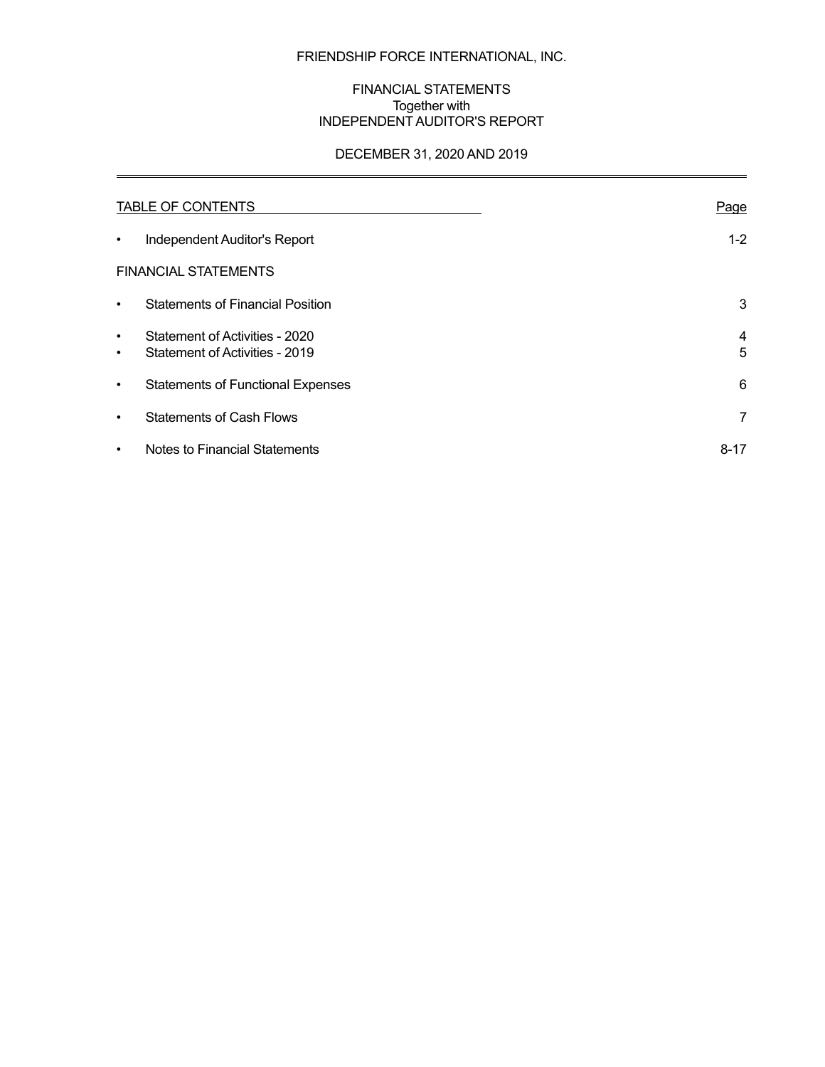## FINANCIAL STATEMENTS Together with INDEPENDENT AUDITOR'S REPORT

## DECEMBER 31, 2020 AND 2019

 $\overline{a}$ 

|                        | <b>TABLE OF CONTENTS</b>                                         | Page           |
|------------------------|------------------------------------------------------------------|----------------|
| $\bullet$              | Independent Auditor's Report                                     | $1 - 2$        |
|                        | <b>FINANCIAL STATEMENTS</b>                                      |                |
| $\bullet$              | <b>Statements of Financial Position</b>                          | 3              |
| $\bullet$<br>$\bullet$ | Statement of Activities - 2020<br>Statement of Activities - 2019 | 4<br>5         |
| $\bullet$              | <b>Statements of Functional Expenses</b>                         | 6              |
| $\bullet$              | <b>Statements of Cash Flows</b>                                  | $\overline{7}$ |
| $\bullet$              | Notes to Financial Statements                                    | $8 - 17$       |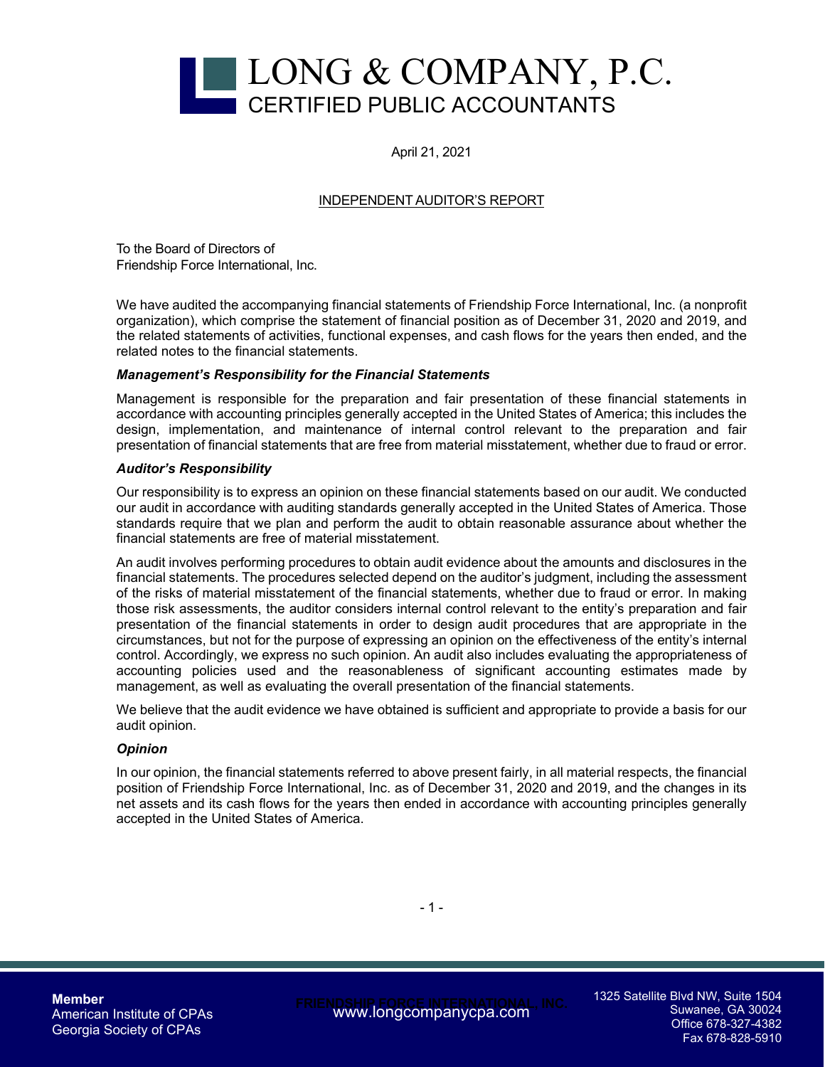

April 21, 2021

## INDEPENDENT AUDITOR'S REPORT

To the Board of Directors of Friendship Force International, Inc.

We have audited the accompanying financial statements of Friendship Force International, Inc. (a nonprofit organization), which comprise the statement of financial position as of December 31, 2020 and 2019, and the related statements of activities, functional expenses, and cash flows for the years then ended, and the related notes to the financial statements.

### *Management's Responsibility for the Financial Statements*

Management is responsible for the preparation and fair presentation of these financial statements in accordance with accounting principles generally accepted in the United States of America; this includes the design, implementation, and maintenance of internal control relevant to the preparation and fair presentation of financial statements that are free from material misstatement, whether due to fraud or error.

### *Auditor's Responsibility*

Our responsibility is to express an opinion on these financial statements based on our audit. We conducted our audit in accordance with auditing standards generally accepted in the United States of America. Those standards require that we plan and perform the audit to obtain reasonable assurance about whether the financial statements are free of material misstatement.

An audit involves performing procedures to obtain audit evidence about the amounts and disclosures in the financial statements. The procedures selected depend on the auditor's judgment, including the assessment of the risks of material misstatement of the financial statements, whether due to fraud or error. In making those risk assessments, the auditor considers internal control relevant to the entity's preparation and fair presentation of the financial statements in order to design audit procedures that are appropriate in the circumstances, but not for the purpose of expressing an opinion on the effectiveness of the entity's internal control. Accordingly, we express no such opinion. An audit also includes evaluating the appropriateness of accounting policies used and the reasonableness of significant accounting estimates made by management, as well as evaluating the overall presentation of the financial statements.

We believe that the audit evidence we have obtained is sufficient and appropriate to provide a basis for our audit opinion.

### *Opinion*

In our opinion, the financial statements referred to above present fairly, in all material respects, the financial position of Friendship Force International, Inc. as of December 31, 2020 and 2019, and the changes in its net assets and its cash flows for the years then ended in accordance with accounting principles generally accepted in the United States of America.

**Member**  American Institute of CPAs Georgia Society of CPAs

**FRIENDSHIP FORCE INTERNATIONAL, INC.**  www.longcompanycpa.com

1325 Satellite Blvd NW, Suite 1504 Suwanee, GA 30024 Office 678-327-4382 Fax 678-828-5910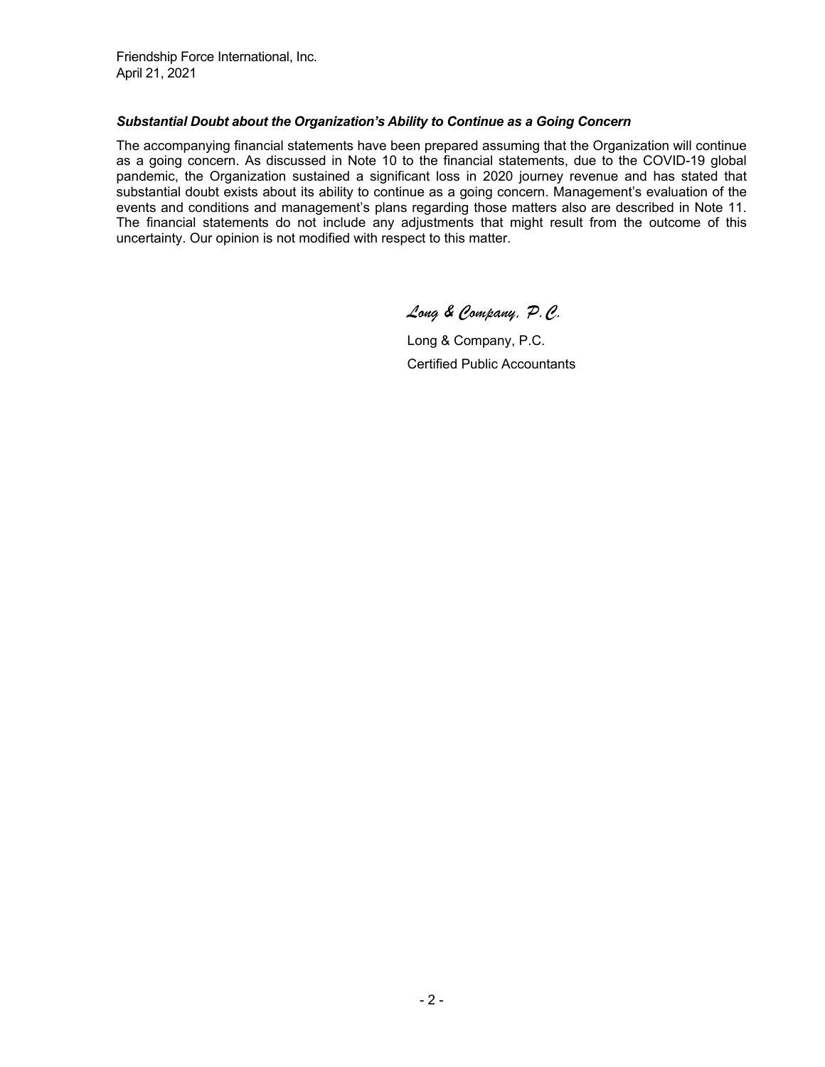Friendship Force International, Inc. April 21, 2021

### *Substantial Doubt about the Organization's Ability to Continue as a Going Concern*

The accompanying financial statements have been prepared assuming that the Organization will continue as a going concern. As discussed in Note 10 to the financial statements, due to the COVID-19 global pandemic, the Organization sustained a significant loss in 2020 journey revenue and has stated that substantial doubt exists about its ability to continue as a going concern. Management's evaluation of the events and conditions and management's plans regarding those matters also are described in Note 11. The financial statements do not include any adjustments that might result from the outcome of this uncertainty. Our opinion is not modified with respect to this matter.

*Long & Company, P.C.* 

 Long & Company, P.C. Certified Public Accountants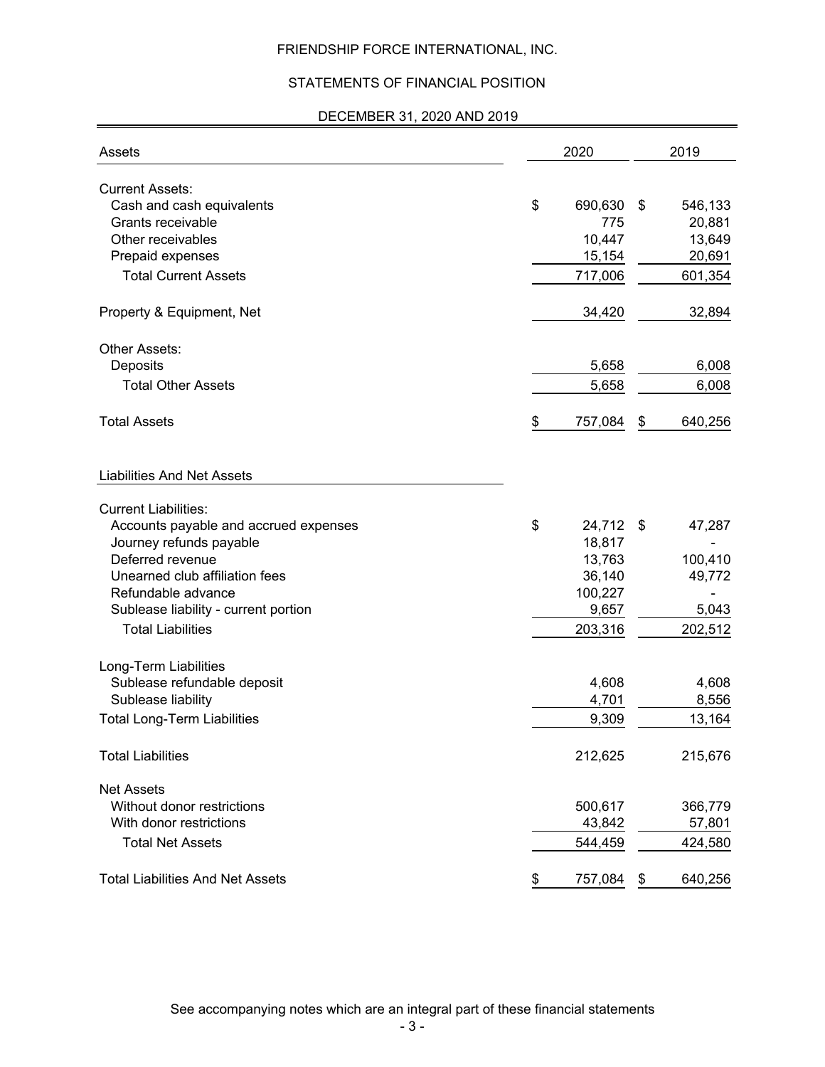## STATEMENTS OF FINANCIAL POSITION

## DECEMBER 31, 2020 AND 2019

| Assets                                  | 2020          | 2019          |
|-----------------------------------------|---------------|---------------|
| <b>Current Assets:</b>                  |               |               |
| Cash and cash equivalents               | \$<br>690,630 | \$<br>546,133 |
| Grants receivable                       | 775           | 20,881        |
| Other receivables                       | 10,447        | 13,649        |
| Prepaid expenses                        | 15,154        | 20,691        |
| <b>Total Current Assets</b>             | 717,006       | 601,354       |
| Property & Equipment, Net               | 34,420        | 32,894        |
| <b>Other Assets:</b>                    |               |               |
| Deposits                                | 5,658         | 6,008         |
| <b>Total Other Assets</b>               | 5,658         | 6,008         |
| <b>Total Assets</b>                     | \$<br>757,084 | \$<br>640,256 |
| <b>Liabilities And Net Assets</b>       |               |               |
| <b>Current Liabilities:</b>             |               |               |
| Accounts payable and accrued expenses   | \$<br>24,712  | \$<br>47,287  |
| Journey refunds payable                 | 18,817        |               |
| Deferred revenue                        | 13,763        | 100,410       |
| Unearned club affiliation fees          | 36,140        | 49,772        |
| Refundable advance                      | 100,227       |               |
| Sublease liability - current portion    | 9,657         | 5,043         |
| <b>Total Liabilities</b>                | 203,316       | 202,512       |
| Long-Term Liabilities                   |               |               |
| Sublease refundable deposit             | 4,608         | 4,608         |
| Sublease liability                      | 4,701         | 8,556         |
| <b>Total Long-Term Liabilities</b>      | 9,309         | 13,164        |
| <b>Total Liabilities</b>                | 212,625       | 215,676       |
| <b>Net Assets</b>                       |               |               |
| Without donor restrictions              | 500,617       | 366,779       |
| With donor restrictions                 | 43,842        | 57,801        |
| <b>Total Net Assets</b>                 | 544,459       | 424,580       |
| <b>Total Liabilities And Net Assets</b> | \$<br>757,084 | \$<br>640,256 |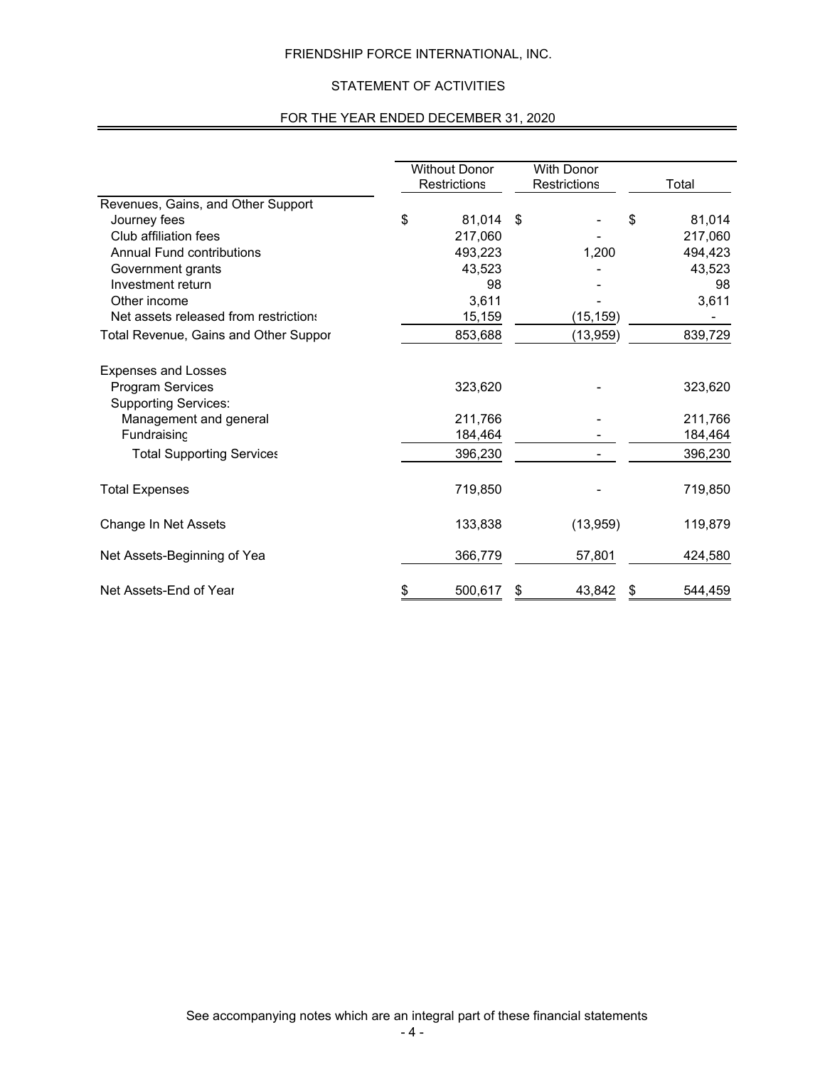## STATEMENT OF ACTIVITIES

### FOR THE YEAR ENDED DECEMBER 31, 2020

|                                       | <b>Without Donor</b><br>Restrictions |    | <b>With Donor</b><br>Restrictions |    | Total   |
|---------------------------------------|--------------------------------------|----|-----------------------------------|----|---------|
| Revenues, Gains, and Other Support    |                                      |    |                                   |    |         |
| Journey fees                          | \$<br>81,014                         | \$ |                                   | \$ | 81,014  |
| Club affiliation fees                 | 217,060                              |    |                                   |    | 217,060 |
| <b>Annual Fund contributions</b>      | 493,223                              |    | 1,200                             |    | 494,423 |
| Government grants                     | 43,523                               |    |                                   |    | 43,523  |
| Investment return                     | 98                                   |    |                                   |    | 98      |
| Other income                          | 3.611                                |    |                                   |    | 3,611   |
| Net assets released from restrictions | 15,159                               |    | (15, 159)                         |    |         |
| Total Revenue, Gains and Other Suppor | 853,688                              |    | (13,959)                          |    | 839,729 |
| <b>Expenses and Losses</b>            |                                      |    |                                   |    |         |
| Program Services                      | 323,620                              |    |                                   |    | 323,620 |
| <b>Supporting Services:</b>           |                                      |    |                                   |    |         |
| Management and general                | 211,766                              |    |                                   |    | 211,766 |
| Fundraising                           | 184,464                              |    |                                   |    | 184,464 |
| <b>Total Supporting Services</b>      | 396,230                              |    |                                   |    | 396,230 |
| <b>Total Expenses</b>                 | 719,850                              |    |                                   |    | 719,850 |
| Change In Net Assets                  | 133,838                              |    | (13,959)                          |    | 119,879 |
| Net Assets-Beginning of Yea           | 366,779                              |    | 57,801                            |    | 424,580 |
| Net Assets-End of Year                | \$<br>500,617                        | \$ | 43,842                            | \$ | 544,459 |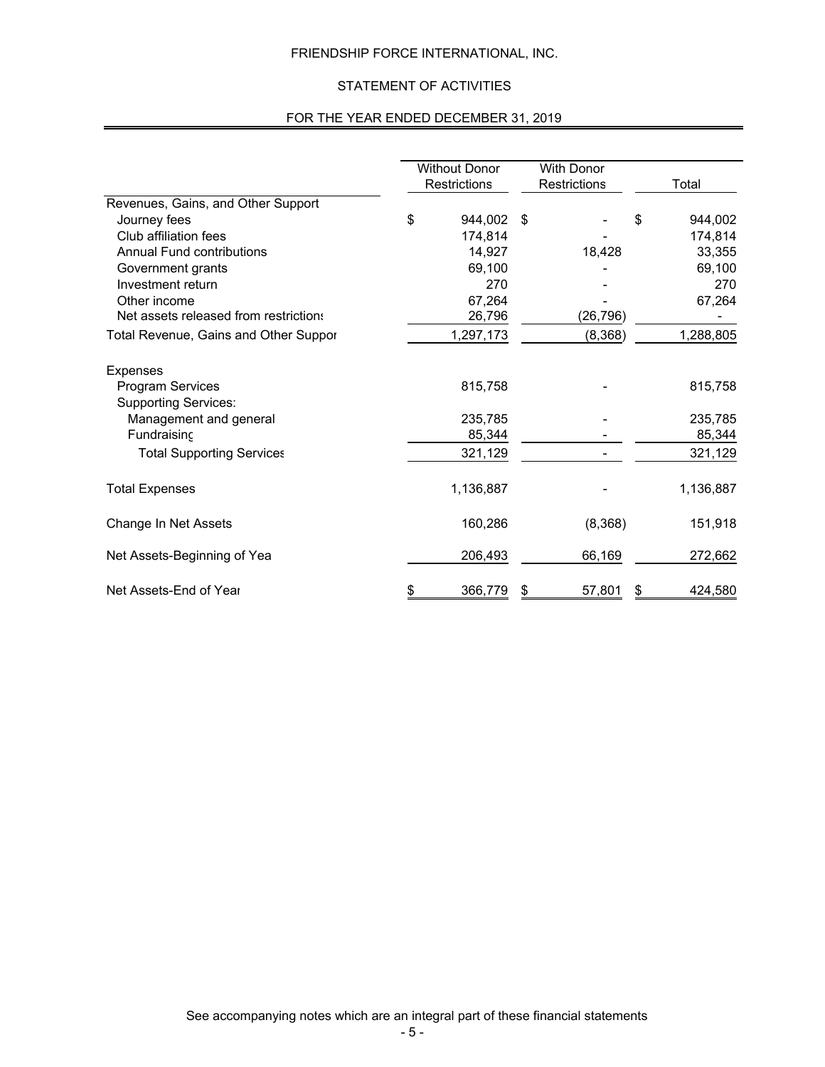### STATEMENT OF ACTIVITIES

#### FOR THE YEAR ENDED DECEMBER 31, 2019

|                                       | <b>Without Donor</b><br>Restrictions |    | <b>With Donor</b><br>Restrictions |    | Total     |
|---------------------------------------|--------------------------------------|----|-----------------------------------|----|-----------|
| Revenues, Gains, and Other Support    |                                      |    |                                   |    |           |
| Journey fees                          | \$<br>944,002                        | \$ |                                   | \$ | 944,002   |
| Club affiliation fees                 | 174,814                              |    |                                   |    | 174,814   |
| <b>Annual Fund contributions</b>      | 14,927                               |    | 18,428                            |    | 33,355    |
| Government grants                     | 69,100                               |    |                                   |    | 69,100    |
| Investment return                     | 270                                  |    |                                   |    | 270       |
| Other income                          | 67,264                               |    |                                   |    | 67,264    |
| Net assets released from restrictions | 26,796                               |    | (26,796)                          |    |           |
| Total Revenue, Gains and Other Suppor | 1,297,173                            |    | (8,368)                           |    | 1,288,805 |
| <b>Expenses</b>                       |                                      |    |                                   |    |           |
| Program Services                      | 815,758                              |    |                                   |    | 815,758   |
| <b>Supporting Services:</b>           |                                      |    |                                   |    |           |
| Management and general                | 235,785                              |    |                                   |    | 235,785   |
| Fundraising                           | 85,344                               |    |                                   |    | 85,344    |
| <b>Total Supporting Services</b>      | 321,129                              |    |                                   |    | 321,129   |
| <b>Total Expenses</b>                 | 1,136,887                            |    |                                   |    | 1,136,887 |
| Change In Net Assets                  | 160,286                              |    | (8,368)                           |    | 151,918   |
| Net Assets-Beginning of Yea           | 206,493                              |    | 66,169                            |    | 272,662   |
| Net Assets-End of Year                | \$<br>366,779                        | \$ | 57,801                            | \$ | 424,580   |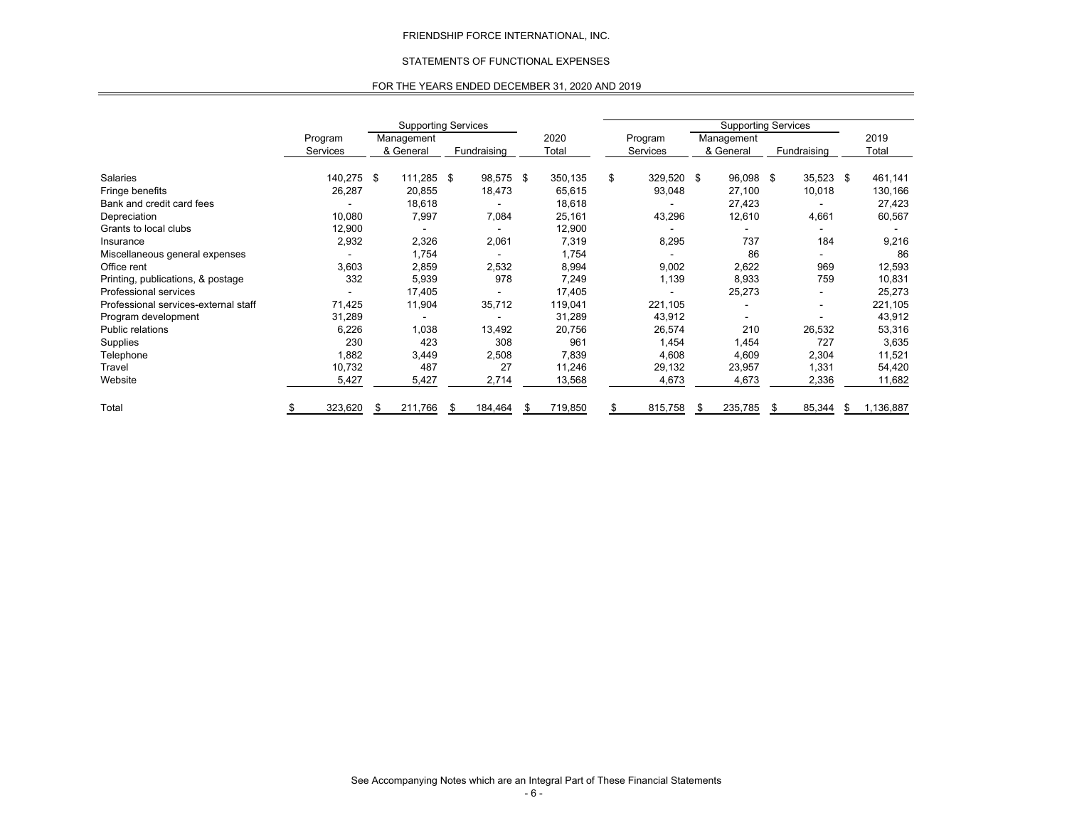#### STATEMENTS OF FUNCTIONAL EXPENSES

#### FOR THE YEARS ENDED DECEMBER 31, 2020 AND 2019

|                                      |          | <b>Supporting Services</b> |               |               |    |            |    | <b>Supporting Services</b> |                |      |           |
|--------------------------------------|----------|----------------------------|---------------|---------------|----|------------|----|----------------------------|----------------|------|-----------|
|                                      | Program  | Management                 |               | 2020          |    | Program    |    | Management                 |                | 2019 |           |
|                                      | Services | & General                  | Fundraising   | Total         |    | Services   |    | & General                  | Fundraising    |      | Total     |
|                                      |          |                            |               |               |    |            |    |                            |                |      |           |
| <b>Salaries</b>                      | 140,275  | 111,285 \$<br>\$           | 98,575 \$     | 350,135       | \$ | 329,520 \$ |    | 96,098 \$                  | 35,523 \$      |      | 461,141   |
| Fringe benefits                      | 26,287   | 20,855                     | 18,473        | 65,615        |    | 93,048     |    | 27,100                     | 10,018         |      | 130,166   |
| Bank and credit card fees            |          | 18,618                     |               | 18,618        |    |            |    | 27,423                     |                |      | 27,423    |
| Depreciation                         | 10,080   | 7,997                      | 7,084         | 25,161        |    | 43,296     |    | 12,610                     | 4,661          |      | 60,567    |
| Grants to local clubs                | 12,900   | $\overline{\phantom{a}}$   |               | 12,900        |    |            |    | ٠                          | $\sim$         |      |           |
| Insurance                            | 2,932    | 2,326                      | 2,061         | 7,319         |    | 8,295      |    | 737                        | 184            |      | 9,216     |
| Miscellaneous general expenses       |          | 1,754                      |               | 1,754         |    |            |    | 86                         | $\blacksquare$ |      | 86        |
| Office rent                          | 3,603    | 2,859                      | 2,532         | 8,994         |    | 9,002      |    | 2,622                      | 969            |      | 12,593    |
| Printing, publications, & postage    | 332      | 5,939                      | 978           | 7,249         |    | 1,139      |    | 8,933                      | 759            |      | 10,831    |
| Professional services                |          | 17,405                     |               | 17,405        |    |            |    | 25,273                     |                |      | 25,273    |
| Professional services-external staff | 71,425   | 11,904                     | 35,712        | 119,041       |    | 221,105    |    |                            |                |      | 221,105   |
| Program development                  | 31,289   |                            |               | 31,289        |    | 43,912     |    | $\overline{\phantom{a}}$   |                |      | 43,912    |
| Public relations                     | 6,226    | 1,038                      | 13,492        | 20,756        |    | 26,574     |    | 210                        | 26,532         |      | 53,316    |
| Supplies                             | 230      | 423                        | 308           | 961           |    | 1,454      |    | 1,454                      | 727            |      | 3,635     |
| Telephone                            | 1,882    | 3,449                      | 2,508         | 7,839         |    | 4,608      |    | 4,609                      | 2,304          |      | 11,521    |
| Travel                               | 10,732   | 487                        | 27            | 11,246        |    | 29,132     |    | 23,957                     | 1,331          |      | 54,420    |
| Website                              | 5,427    | 5,427                      | 2,714         | 13,568        |    | 4,673      |    | 4,673                      | 2,336          |      | 11,682    |
| Total                                | 323,620  | 211,766<br>\$              | 184,464<br>\$ | \$<br>719,850 | S. | 815,758    | \$ | 235,785                    | 85,344<br>\$   | \$   | 1,136,887 |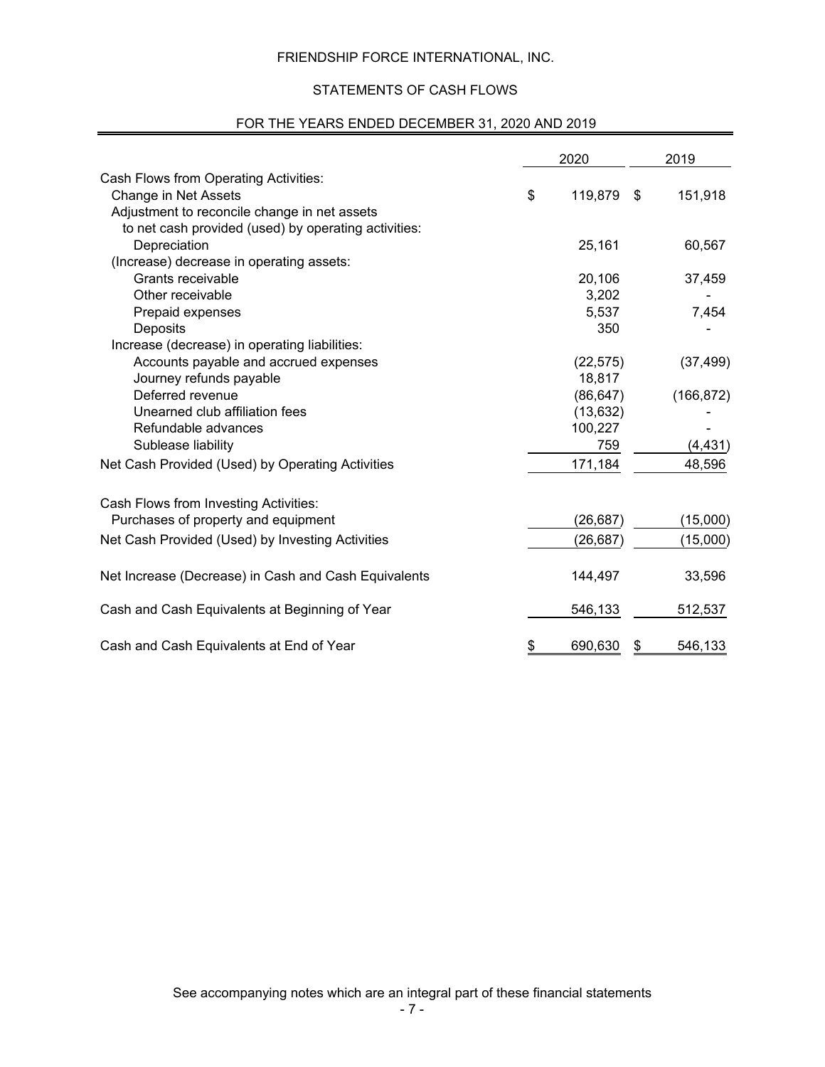## STATEMENTS OF CASH FLOWS

# FOR THE YEARS ENDED DECEMBER 31, 2020 AND 2019

|                                                      | 2020          | 2019          |
|------------------------------------------------------|---------------|---------------|
| Cash Flows from Operating Activities:                |               |               |
| Change in Net Assets                                 | \$<br>119,879 | \$<br>151,918 |
| Adjustment to reconcile change in net assets         |               |               |
| to net cash provided (used) by operating activities: |               |               |
| Depreciation                                         | 25,161        | 60,567        |
| (Increase) decrease in operating assets:             |               |               |
| Grants receivable                                    | 20,106        | 37,459        |
| Other receivable                                     | 3,202         |               |
| Prepaid expenses                                     | 5,537         | 7,454         |
| Deposits                                             | 350           |               |
| Increase (decrease) in operating liabilities:        |               |               |
| Accounts payable and accrued expenses                | (22, 575)     | (37, 499)     |
| Journey refunds payable                              | 18,817        |               |
| Deferred revenue                                     | (86, 647)     | (166, 872)    |
| Unearned club affiliation fees                       | (13, 632)     |               |
| Refundable advances                                  | 100,227       |               |
| Sublease liability                                   | 759           | (4, 431)      |
| Net Cash Provided (Used) by Operating Activities     | 171,184       | 48,596        |
|                                                      |               |               |
| Cash Flows from Investing Activities:                |               |               |
| Purchases of property and equipment                  | (26, 687)     | (15,000)      |
| Net Cash Provided (Used) by Investing Activities     | (26, 687)     | (15,000)      |
| Net Increase (Decrease) in Cash and Cash Equivalents | 144,497       | 33,596        |
| Cash and Cash Equivalents at Beginning of Year       | 546,133       | 512,537       |
| Cash and Cash Equivalents at End of Year             | \$<br>690,630 | \$<br>546,133 |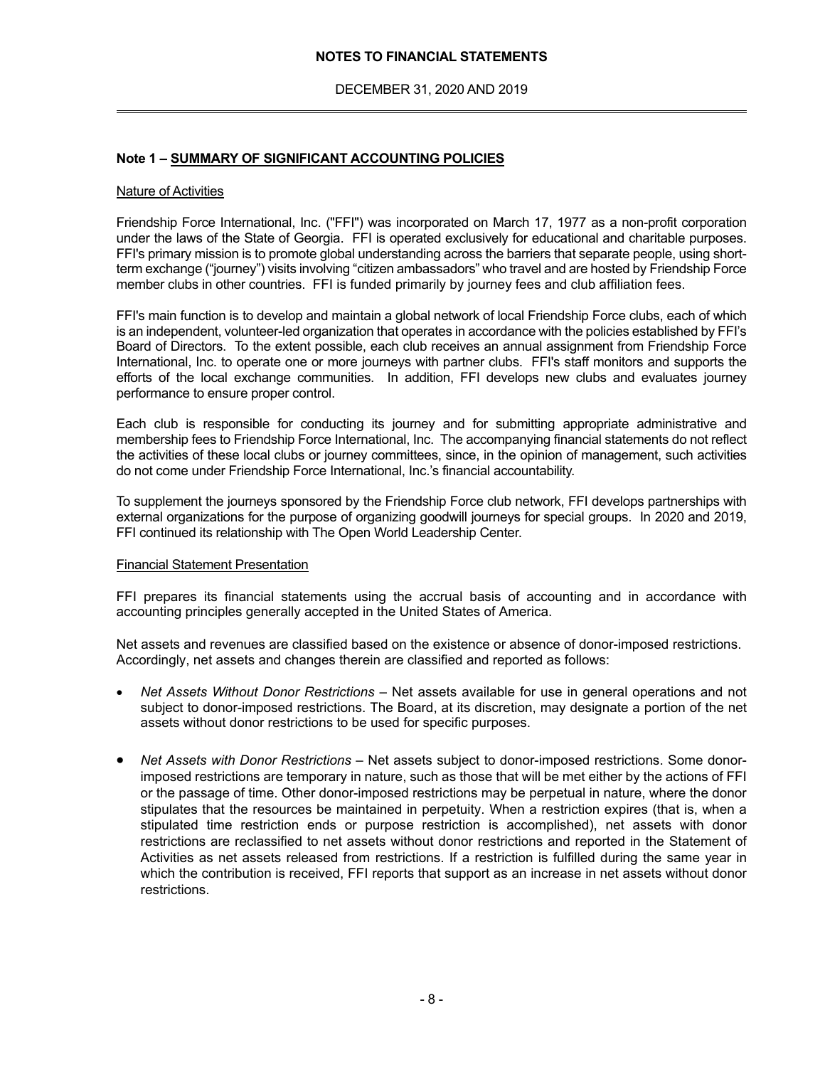### **NOTES TO FINANCIAL STATEMENTS**

DECEMBER 31, 2020 AND 2019

### **Note 1 – SUMMARY OF SIGNIFICANT ACCOUNTING POLICIES**

#### Nature of Activities

 $\overline{a}$ 

Friendship Force International, Inc. ("FFI") was incorporated on March 17, 1977 as a non-profit corporation under the laws of the State of Georgia. FFI is operated exclusively for educational and charitable purposes. FFI's primary mission is to promote global understanding across the barriers that separate people, using shortterm exchange ("journey") visits involving "citizen ambassadors" who travel and are hosted by Friendship Force member clubs in other countries. FFI is funded primarily by journey fees and club affiliation fees.

FFI's main function is to develop and maintain a global network of local Friendship Force clubs, each of which is an independent, volunteer-led organization that operates in accordance with the policies established by FFI's Board of Directors. To the extent possible, each club receives an annual assignment from Friendship Force International, Inc. to operate one or more journeys with partner clubs. FFI's staff monitors and supports the efforts of the local exchange communities. In addition, FFI develops new clubs and evaluates journey performance to ensure proper control.

Each club is responsible for conducting its journey and for submitting appropriate administrative and membership fees to Friendship Force International, Inc. The accompanying financial statements do not reflect the activities of these local clubs or journey committees, since, in the opinion of management, such activities do not come under Friendship Force International, Inc.'s financial accountability.

To supplement the journeys sponsored by the Friendship Force club network, FFI develops partnerships with external organizations for the purpose of organizing goodwill journeys for special groups. In 2020 and 2019, FFI continued its relationship with The Open World Leadership Center.

### Financial Statement Presentation

FFI prepares its financial statements using the accrual basis of accounting and in accordance with accounting principles generally accepted in the United States of America.

Net assets and revenues are classified based on the existence or absence of donor-imposed restrictions. Accordingly, net assets and changes therein are classified and reported as follows:

- *Net Assets Without Donor Restrictions*  Net assets available for use in general operations and not subject to donor-imposed restrictions. The Board, at its discretion, may designate a portion of the net assets without donor restrictions to be used for specific purposes.
- *Net Assets with Donor Restrictions*  Net assets subject to donor-imposed restrictions. Some donorimposed restrictions are temporary in nature, such as those that will be met either by the actions of FFI or the passage of time. Other donor-imposed restrictions may be perpetual in nature, where the donor stipulates that the resources be maintained in perpetuity. When a restriction expires (that is, when a stipulated time restriction ends or purpose restriction is accomplished), net assets with donor restrictions are reclassified to net assets without donor restrictions and reported in the Statement of Activities as net assets released from restrictions. If a restriction is fulfilled during the same year in which the contribution is received, FFI reports that support as an increase in net assets without donor restrictions.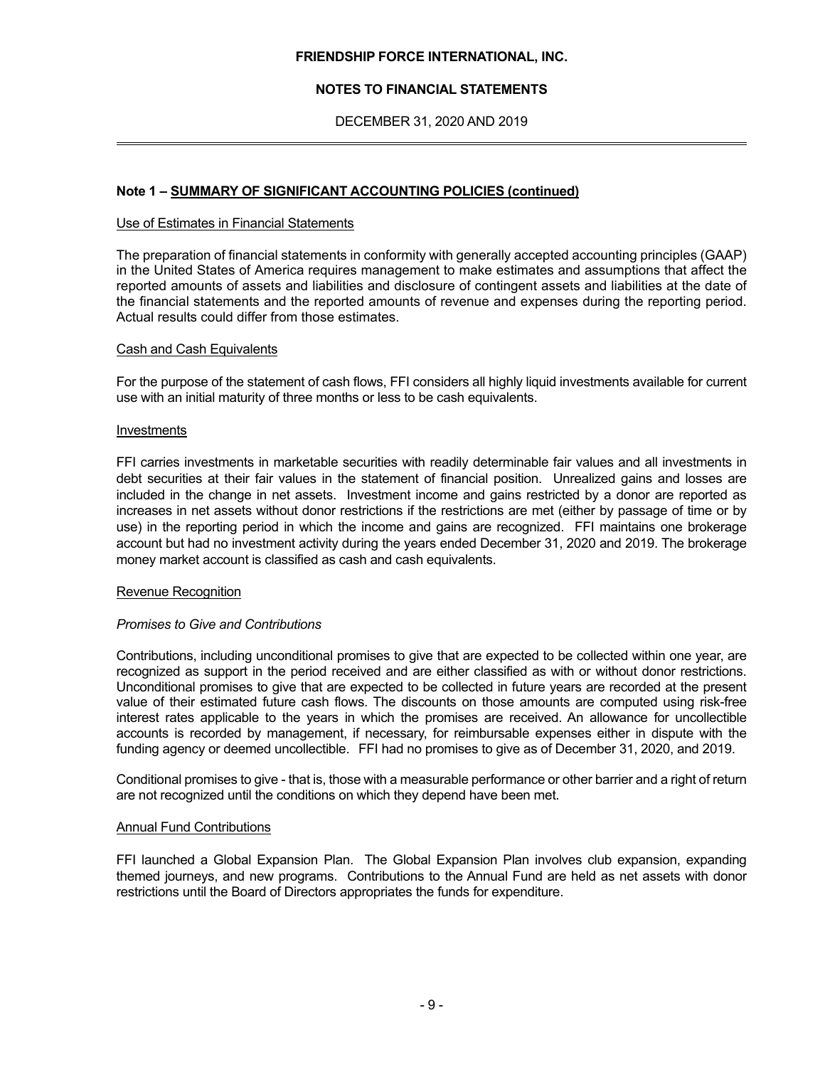### **NOTES TO FINANCIAL STATEMENTS**

DECEMBER 31, 2020 AND 2019

### **Note 1 – SUMMARY OF SIGNIFICANT ACCOUNTING POLICIES (continued)**

#### Use of Estimates in Financial Statements

The preparation of financial statements in conformity with generally accepted accounting principles (GAAP) in the United States of America requires management to make estimates and assumptions that affect the reported amounts of assets and liabilities and disclosure of contingent assets and liabilities at the date of the financial statements and the reported amounts of revenue and expenses during the reporting period. Actual results could differ from those estimates.

### Cash and Cash Equivalents

For the purpose of the statement of cash flows, FFI considers all highly liquid investments available for current use with an initial maturity of three months or less to be cash equivalents.

#### Investments

 $\overline{a}$ 

FFI carries investments in marketable securities with readily determinable fair values and all investments in debt securities at their fair values in the statement of financial position. Unrealized gains and losses are included in the change in net assets. Investment income and gains restricted by a donor are reported as increases in net assets without donor restrictions if the restrictions are met (either by passage of time or by use) in the reporting period in which the income and gains are recognized. FFI maintains one brokerage account but had no investment activity during the years ended December 31, 2020 and 2019. The brokerage money market account is classified as cash and cash equivalents.

#### Revenue Recognition

### *Promises to Give and Contributions*

Contributions, including unconditional promises to give that are expected to be collected within one year, are recognized as support in the period received and are either classified as with or without donor restrictions. Unconditional promises to give that are expected to be collected in future years are recorded at the present value of their estimated future cash flows. The discounts on those amounts are computed using risk-free interest rates applicable to the years in which the promises are received. An allowance for uncollectible accounts is recorded by management, if necessary, for reimbursable expenses either in dispute with the funding agency or deemed uncollectible. FFI had no promises to give as of December 31, 2020, and 2019.

Conditional promises to give - that is, those with a measurable performance or other barrier and a right of return are not recognized until the conditions on which they depend have been met.

### Annual Fund Contributions

FFI launched a Global Expansion Plan. The Global Expansion Plan involves club expansion, expanding themed journeys, and new programs. Contributions to the Annual Fund are held as net assets with donor restrictions until the Board of Directors appropriates the funds for expenditure.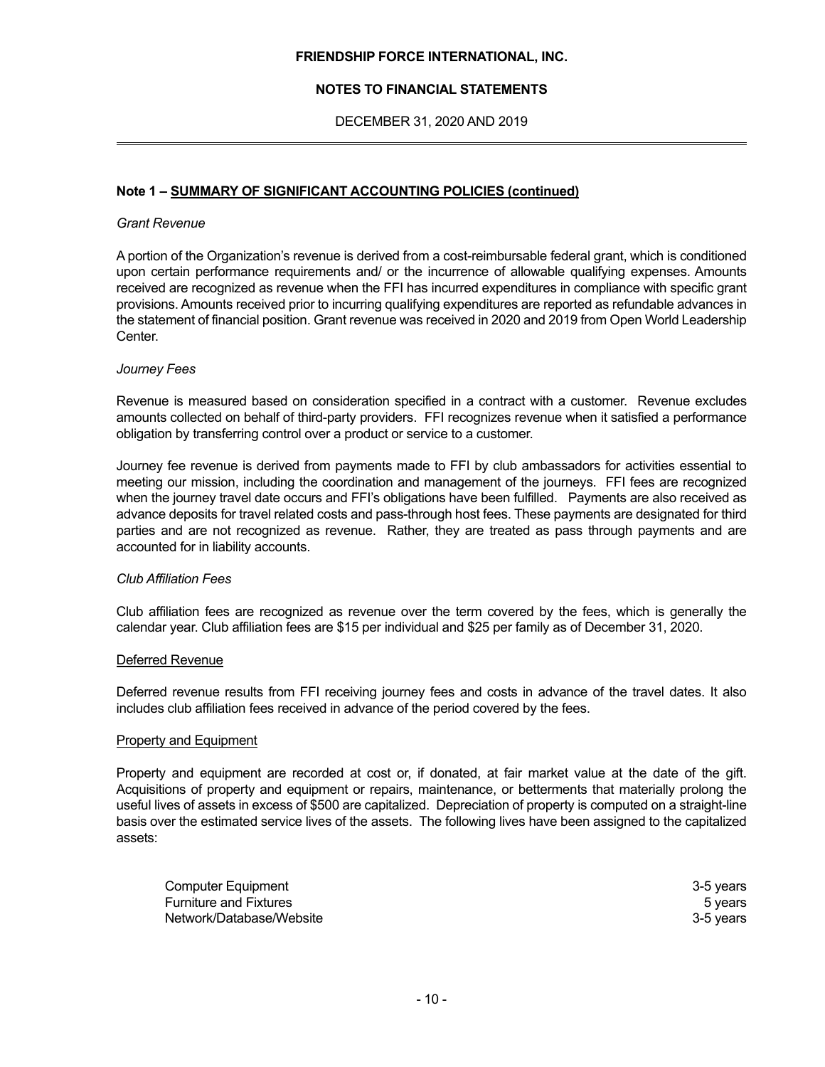### **NOTES TO FINANCIAL STATEMENTS**

DECEMBER 31, 2020 AND 2019

### **Note 1 – SUMMARY OF SIGNIFICANT ACCOUNTING POLICIES (continued)**

#### *Grant Revenue*

 $\overline{a}$ 

A portion of the Organization's revenue is derived from a cost-reimbursable federal grant, which is conditioned upon certain performance requirements and/ or the incurrence of allowable qualifying expenses. Amounts received are recognized as revenue when the FFI has incurred expenditures in compliance with specific grant provisions. Amounts received prior to incurring qualifying expenditures are reported as refundable advances in the statement of financial position. Grant revenue was received in 2020 and 2019 from Open World Leadership Center.

### *Journey Fees*

Revenue is measured based on consideration specified in a contract with a customer. Revenue excludes amounts collected on behalf of third-party providers. FFI recognizes revenue when it satisfied a performance obligation by transferring control over a product or service to a customer.

Journey fee revenue is derived from payments made to FFI by club ambassadors for activities essential to meeting our mission, including the coordination and management of the journeys. FFI fees are recognized when the journey travel date occurs and FFI's obligations have been fulfilled. Payments are also received as advance deposits for travel related costs and pass-through host fees. These payments are designated for third parties and are not recognized as revenue. Rather, they are treated as pass through payments and are accounted for in liability accounts.

### *Club Affiliation Fees*

Club affiliation fees are recognized as revenue over the term covered by the fees, which is generally the calendar year. Club affiliation fees are \$15 per individual and \$25 per family as of December 31, 2020.

#### Deferred Revenue

Deferred revenue results from FFI receiving journey fees and costs in advance of the travel dates. It also includes club affiliation fees received in advance of the period covered by the fees.

#### Property and Equipment

Property and equipment are recorded at cost or, if donated, at fair market value at the date of the gift. Acquisitions of property and equipment or repairs, maintenance, or betterments that materially prolong the useful lives of assets in excess of \$500 are capitalized. Depreciation of property is computed on a straight-line basis over the estimated service lives of the assets. The following lives have been assigned to the capitalized assets:

| <b>Computer Equipment</b>     | 3-5 vears |
|-------------------------------|-----------|
| <b>Furniture and Fixtures</b> | 5 years   |
| Network/Database/Website      | 3-5 vears |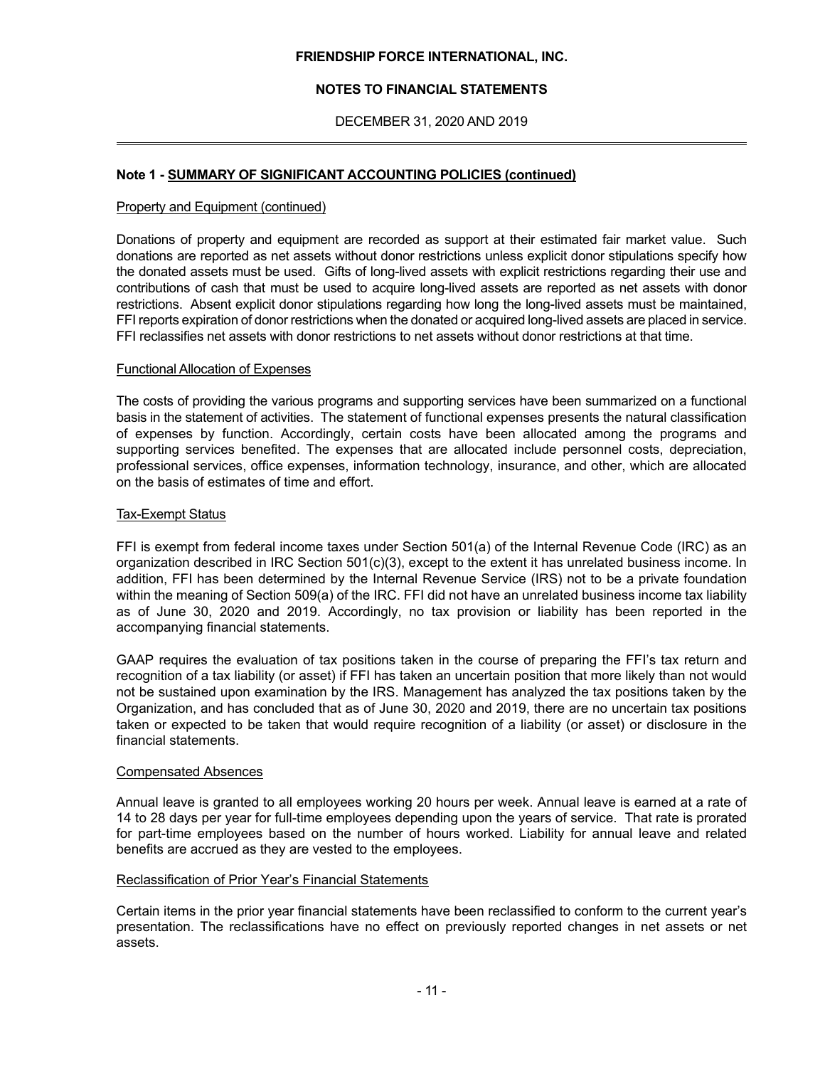### **NOTES TO FINANCIAL STATEMENTS**

DECEMBER 31, 2020 AND 2019

### **Note 1 - SUMMARY OF SIGNIFICANT ACCOUNTING POLICIES (continued)**

### Property and Equipment (continued)

 $\overline{a}$ 

Donations of property and equipment are recorded as support at their estimated fair market value. Such donations are reported as net assets without donor restrictions unless explicit donor stipulations specify how the donated assets must be used. Gifts of long-lived assets with explicit restrictions regarding their use and contributions of cash that must be used to acquire long-lived assets are reported as net assets with donor restrictions. Absent explicit donor stipulations regarding how long the long-lived assets must be maintained, FFI reports expiration of donor restrictions when the donated or acquired long-lived assets are placed in service. FFI reclassifies net assets with donor restrictions to net assets without donor restrictions at that time.

#### Functional Allocation of Expenses

The costs of providing the various programs and supporting services have been summarized on a functional basis in the statement of activities. The statement of functional expenses presents the natural classification of expenses by function. Accordingly, certain costs have been allocated among the programs and supporting services benefited. The expenses that are allocated include personnel costs, depreciation, professional services, office expenses, information technology, insurance, and other, which are allocated on the basis of estimates of time and effort.

### Tax-Exempt Status

FFI is exempt from federal income taxes under Section 501(a) of the Internal Revenue Code (IRC) as an organization described in IRC Section 501(c)(3), except to the extent it has unrelated business income. In addition, FFI has been determined by the Internal Revenue Service (IRS) not to be a private foundation within the meaning of Section 509(a) of the IRC. FFI did not have an unrelated business income tax liability as of June 30, 2020 and 2019. Accordingly, no tax provision or liability has been reported in the accompanying financial statements.

GAAP requires the evaluation of tax positions taken in the course of preparing the FFI's tax return and recognition of a tax liability (or asset) if FFI has taken an uncertain position that more likely than not would not be sustained upon examination by the IRS. Management has analyzed the tax positions taken by the Organization, and has concluded that as of June 30, 2020 and 2019, there are no uncertain tax positions taken or expected to be taken that would require recognition of a liability (or asset) or disclosure in the financial statements.

### Compensated Absences

Annual leave is granted to all employees working 20 hours per week. Annual leave is earned at a rate of 14 to 28 days per year for full-time employees depending upon the years of service. That rate is prorated for part-time employees based on the number of hours worked. Liability for annual leave and related benefits are accrued as they are vested to the employees.

#### Reclassification of Prior Year's Financial Statements

Certain items in the prior year financial statements have been reclassified to conform to the current year's presentation. The reclassifications have no effect on previously reported changes in net assets or net assets.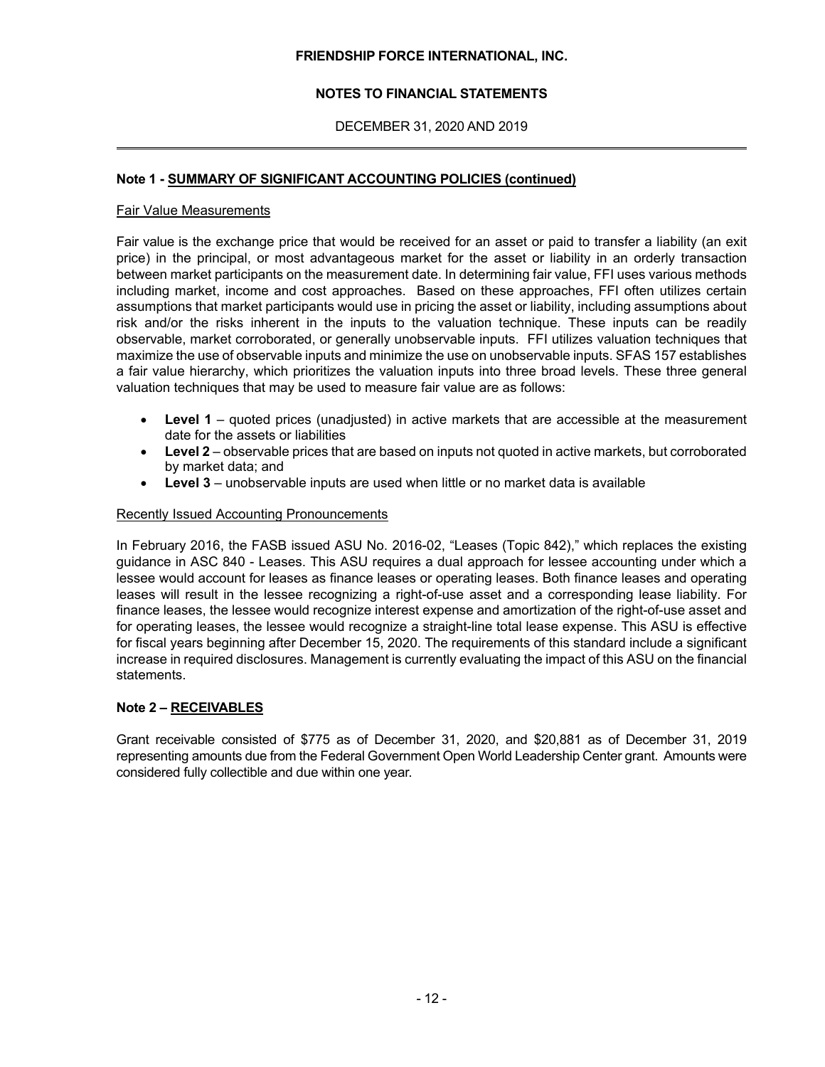### **NOTES TO FINANCIAL STATEMENTS**

DECEMBER 31, 2020 AND 2019

### **Note 1 - SUMMARY OF SIGNIFICANT ACCOUNTING POLICIES (continued)**

#### Fair Value Measurements

 $\overline{a}$ 

Fair value is the exchange price that would be received for an asset or paid to transfer a liability (an exit price) in the principal, or most advantageous market for the asset or liability in an orderly transaction between market participants on the measurement date. In determining fair value, FFI uses various methods including market, income and cost approaches. Based on these approaches, FFI often utilizes certain assumptions that market participants would use in pricing the asset or liability, including assumptions about risk and/or the risks inherent in the inputs to the valuation technique. These inputs can be readily observable, market corroborated, or generally unobservable inputs. FFI utilizes valuation techniques that maximize the use of observable inputs and minimize the use on unobservable inputs. SFAS 157 establishes a fair value hierarchy, which prioritizes the valuation inputs into three broad levels. These three general valuation techniques that may be used to measure fair value are as follows:

- Level 1 quoted prices (unadjusted) in active markets that are accessible at the measurement date for the assets or liabilities
- **Level 2**  observable prices that are based on inputs not quoted in active markets, but corroborated by market data; and
- **Level 3** unobservable inputs are used when little or no market data is available

### Recently Issued Accounting Pronouncements

In February 2016, the FASB issued ASU No. 2016-02, "Leases (Topic 842)," which replaces the existing guidance in ASC 840 - Leases. This ASU requires a dual approach for lessee accounting under which a lessee would account for leases as finance leases or operating leases. Both finance leases and operating leases will result in the lessee recognizing a right-of-use asset and a corresponding lease liability. For finance leases, the lessee would recognize interest expense and amortization of the right-of-use asset and for operating leases, the lessee would recognize a straight-line total lease expense. This ASU is effective for fiscal years beginning after December 15, 2020. The requirements of this standard include a significant increase in required disclosures. Management is currently evaluating the impact of this ASU on the financial statements.

### **Note 2 – RECEIVABLES**

Grant receivable consisted of \$775 as of December 31, 2020, and \$20,881 as of December 31, 2019 representing amounts due from the Federal Government Open World Leadership Center grant. Amounts were considered fully collectible and due within one year.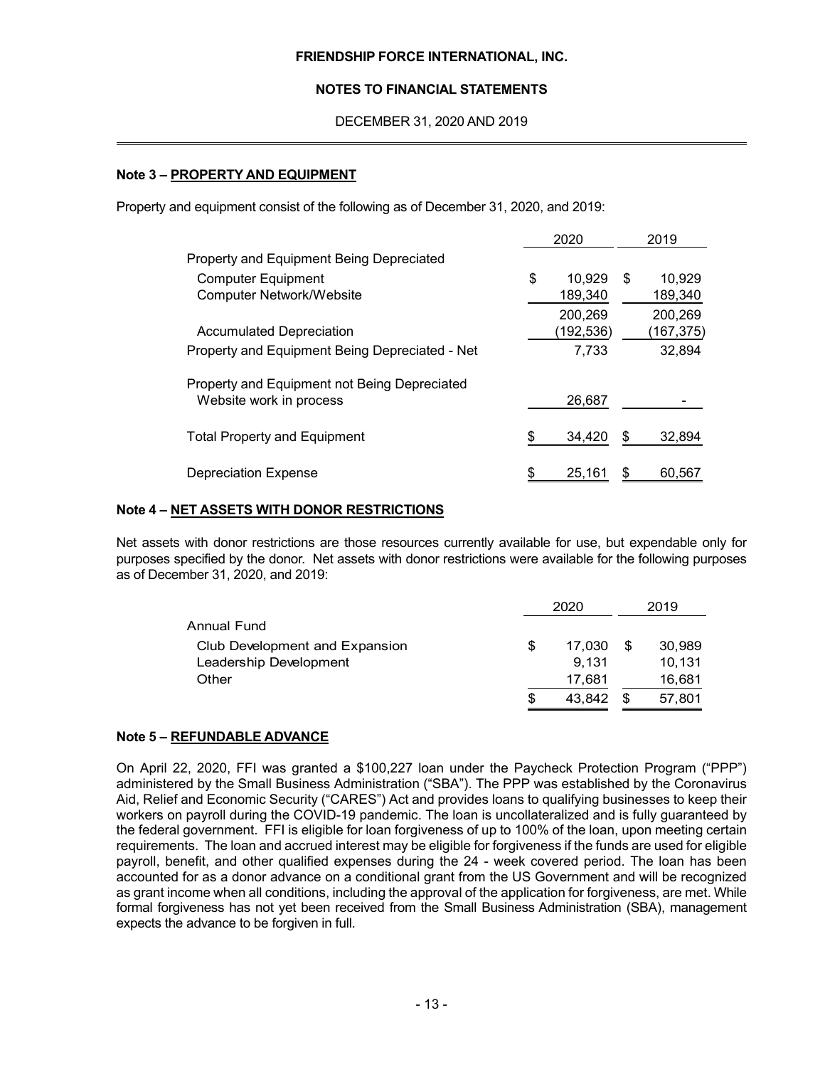### **NOTES TO FINANCIAL STATEMENTS**

DECEMBER 31, 2020 AND 2019

### **Note 3 – PROPERTY AND EQUIPMENT**

 $\overline{a}$ 

Property and equipment consist of the following as of December 31, 2020, and 2019:

|                                                | 2020         |   | 2019       |
|------------------------------------------------|--------------|---|------------|
| Property and Equipment Being Depreciated       |              |   |            |
| <b>Computer Equipment</b>                      | \$<br>10,929 | S | 10,929     |
| <b>Computer Network/Website</b>                | 189,340      |   | 189,340    |
|                                                | 200,269      |   | 200,269    |
| Accumulated Depreciation                       | (192,536)    |   | (167, 375) |
| Property and Equipment Being Depreciated - Net | 7,733        |   | 32,894     |
| Property and Equipment not Being Depreciated   |              |   |            |
| Website work in process                        | 26,687       |   |            |
| <b>Total Property and Equipment</b>            | \$<br>34.420 |   | 32,894     |
| <b>Depreciation Expense</b>                    | \$<br>25,161 |   | 60.567     |

### **Note 4 – NET ASSETS WITH DONOR RESTRICTIONS**

Net assets with donor restrictions are those resources currently available for use, but expendable only for purposes specified by the donor. Net assets with donor restrictions were available for the following purposes as of December 31, 2020, and 2019:

|                                |     | 2020   |  | 2019   |
|--------------------------------|-----|--------|--|--------|
| Annual Fund                    |     |        |  |        |
| Club Development and Expansion | S   | 17.030 |  | 30.989 |
| Leadership Development         |     | 9.131  |  | 10.131 |
| Other                          |     | 17.681 |  | 16,681 |
|                                | \$. | 43.842 |  | 57,801 |

### **Note 5 – REFUNDABLE ADVANCE**

On April 22, 2020, FFI was granted a \$100,227 loan under the Paycheck Protection Program ("PPP") administered by the Small Business Administration ("SBA"). The PPP was established by the Coronavirus Aid, Relief and Economic Security ("CARES") Act and provides loans to qualifying businesses to keep their workers on payroll during the COVID-19 pandemic. The loan is uncollateralized and is fully guaranteed by the federal government. FFI is eligible for loan forgiveness of up to 100% of the loan, upon meeting certain requirements. The loan and accrued interest may be eligible for forgiveness if the funds are used for eligible payroll, benefit, and other qualified expenses during the 24 - week covered period. The loan has been accounted for as a donor advance on a conditional grant from the US Government and will be recognized as grant income when all conditions, including the approval of the application for forgiveness, are met. While formal forgiveness has not yet been received from the Small Business Administration (SBA), management expects the advance to be forgiven in full.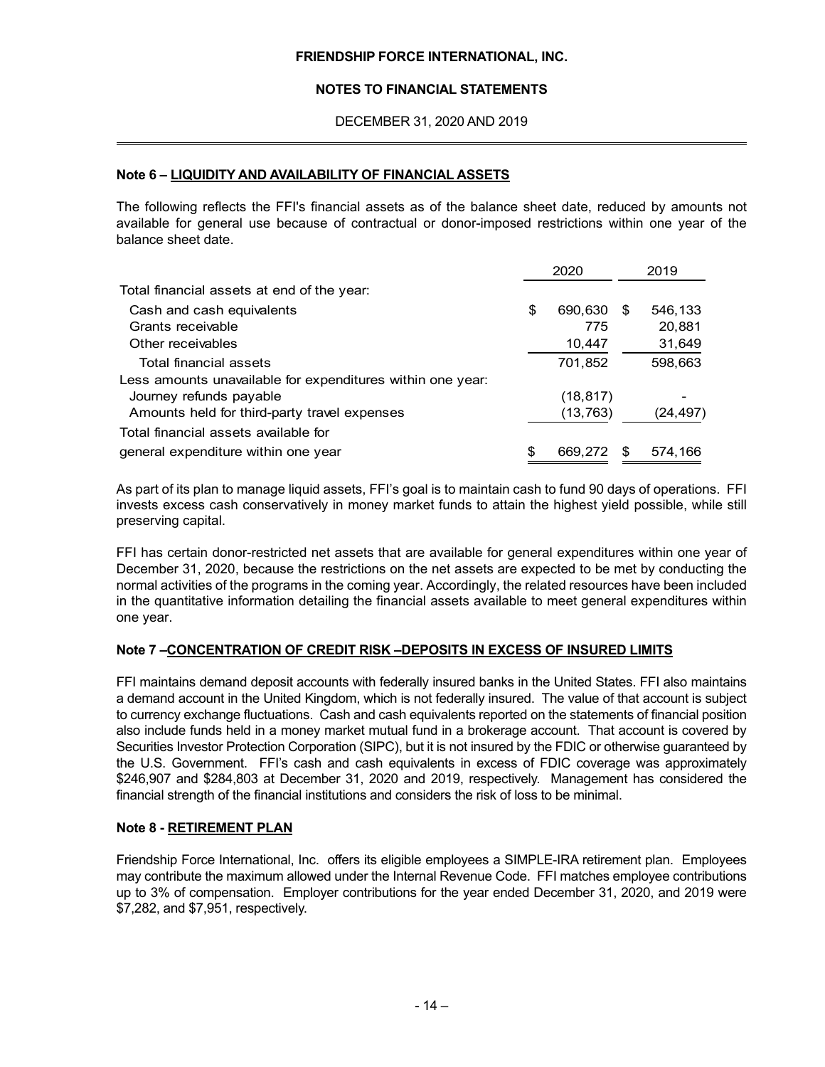### **NOTES TO FINANCIAL STATEMENTS**

DECEMBER 31, 2020 AND 2019

### **Note 6 – LIQUIDITY AND AVAILABILITY OF FINANCIAL ASSETS**

 $\overline{a}$ 

The following reflects the FFI's financial assets as of the balance sheet date, reduced by amounts not available for general use because of contractual or donor-imposed restrictions within one year of the balance sheet date.

|                                                            | 2020          | 2019          |
|------------------------------------------------------------|---------------|---------------|
| Total financial assets at end of the year:                 |               |               |
| Cash and cash equivalents                                  | \$<br>690,630 | \$<br>546,133 |
| Grants receivable                                          | 775           | 20,881        |
| Other receivables                                          | 10,447        | 31,649        |
| Total financial assets                                     | 701,852       | 598,663       |
| Less amounts unavailable for expenditures within one year: |               |               |
| Journey refunds payable                                    | (18, 817)     |               |
| Amounts held for third-party travel expenses               | (13,763)      | (24,497)      |
| Total financial assets available for                       |               |               |
| general expenditure within one year                        | \$<br>669,272 | 574,166       |

As part of its plan to manage liquid assets, FFI's goal is to maintain cash to fund 90 days of operations. FFI invests excess cash conservatively in money market funds to attain the highest yield possible, while still preserving capital.

FFI has certain donor-restricted net assets that are available for general expenditures within one year of December 31, 2020, because the restrictions on the net assets are expected to be met by conducting the normal activities of the programs in the coming year. Accordingly, the related resources have been included in the quantitative information detailing the financial assets available to meet general expenditures within one year.

### **Note 7 –CONCENTRATION OF CREDIT RISK –DEPOSITS IN EXCESS OF INSURED LIMITS**

FFI maintains demand deposit accounts with federally insured banks in the United States. FFI also maintains a demand account in the United Kingdom, which is not federally insured. The value of that account is subject to currency exchange fluctuations. Cash and cash equivalents reported on the statements of financial position also include funds held in a money market mutual fund in a brokerage account. That account is covered by Securities Investor Protection Corporation (SIPC), but it is not insured by the FDIC or otherwise guaranteed by the U.S. Government. FFI's cash and cash equivalents in excess of FDIC coverage was approximately \$246,907 and \$284,803 at December 31, 2020 and 2019, respectively. Management has considered the financial strength of the financial institutions and considers the risk of loss to be minimal.

### **Note 8 - RETIREMENT PLAN**

Friendship Force International, Inc. offers its eligible employees a SIMPLE-IRA retirement plan. Employees may contribute the maximum allowed under the Internal Revenue Code. FFI matches employee contributions up to 3% of compensation. Employer contributions for the year ended December 31, 2020, and 2019 were \$7,282, and \$7,951, respectively.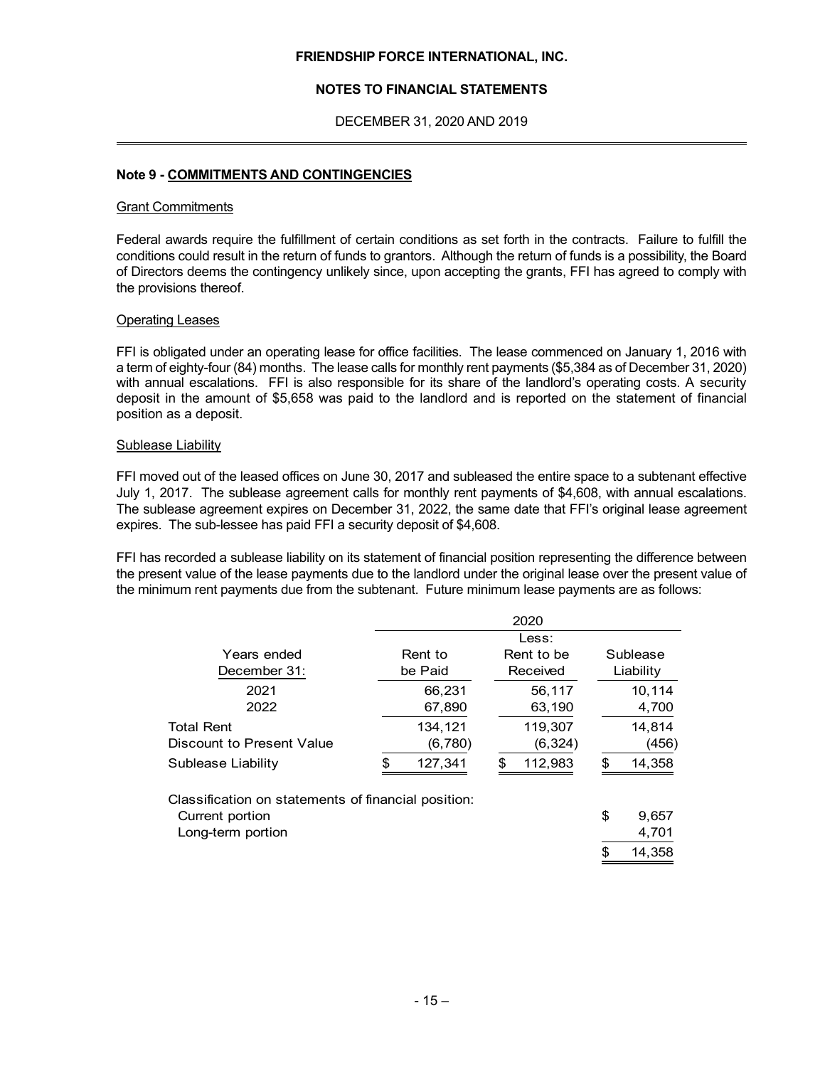### **NOTES TO FINANCIAL STATEMENTS**

DECEMBER 31, 2020 AND 2019

### **Note 9 - COMMITMENTS AND CONTINGENCIES**

#### Grant Commitments

 $\overline{a}$ 

Federal awards require the fulfillment of certain conditions as set forth in the contracts. Failure to fulfill the conditions could result in the return of funds to grantors. Although the return of funds is a possibility, the Board of Directors deems the contingency unlikely since, upon accepting the grants, FFI has agreed to comply with the provisions thereof.

### Operating Leases

FFI is obligated under an operating lease for office facilities. The lease commenced on January 1, 2016 with a term of eighty-four (84) months. The lease calls for monthly rent payments (\$5,384 as of December 31, 2020) with annual escalations. FFI is also responsible for its share of the landlord's operating costs. A security deposit in the amount of \$5,658 was paid to the landlord and is reported on the statement of financial position as a deposit.

#### Sublease Liability

FFI moved out of the leased offices on June 30, 2017 and subleased the entire space to a subtenant effective July 1, 2017. The sublease agreement calls for monthly rent payments of \$4,608, with annual escalations. The sublease agreement expires on December 31, 2022, the same date that FFI's original lease agreement expires. The sub-lessee has paid FFI a security deposit of \$4,608.

FFI has recorded a sublease liability on its statement of financial position representing the difference between the present value of the lease payments due to the landlord under the original lease over the present value of the minimum rent payments due from the subtenant. Future minimum lease payments are as follows:

|                                                     |               | 2020                |              |
|-----------------------------------------------------|---------------|---------------------|--------------|
|                                                     |               | Less:               |              |
| Years ended                                         | Rent to       | Rent to be          | Sublease     |
| December 31:                                        | be Paid       | Received            | Liability    |
| 2021                                                | 66,231        | 56,117              | 10,114       |
| 2022                                                | 67,890        | 63,190              | 4,700        |
| <b>Total Rent</b>                                   | 134,121       | 119,307             | 14,814       |
| Discount to Present Value                           | (6,780)       | (6,324)             | (456)        |
| Sublease Liability                                  | \$<br>127,341 | 112,983<br><u>ፍ</u> | \$<br>14,358 |
| Classification on statements of financial position: |               |                     |              |
| Current portion                                     |               |                     | \$<br>9,657  |
| Long-term portion                                   |               |                     | 4,701        |
|                                                     |               |                     | 14,358       |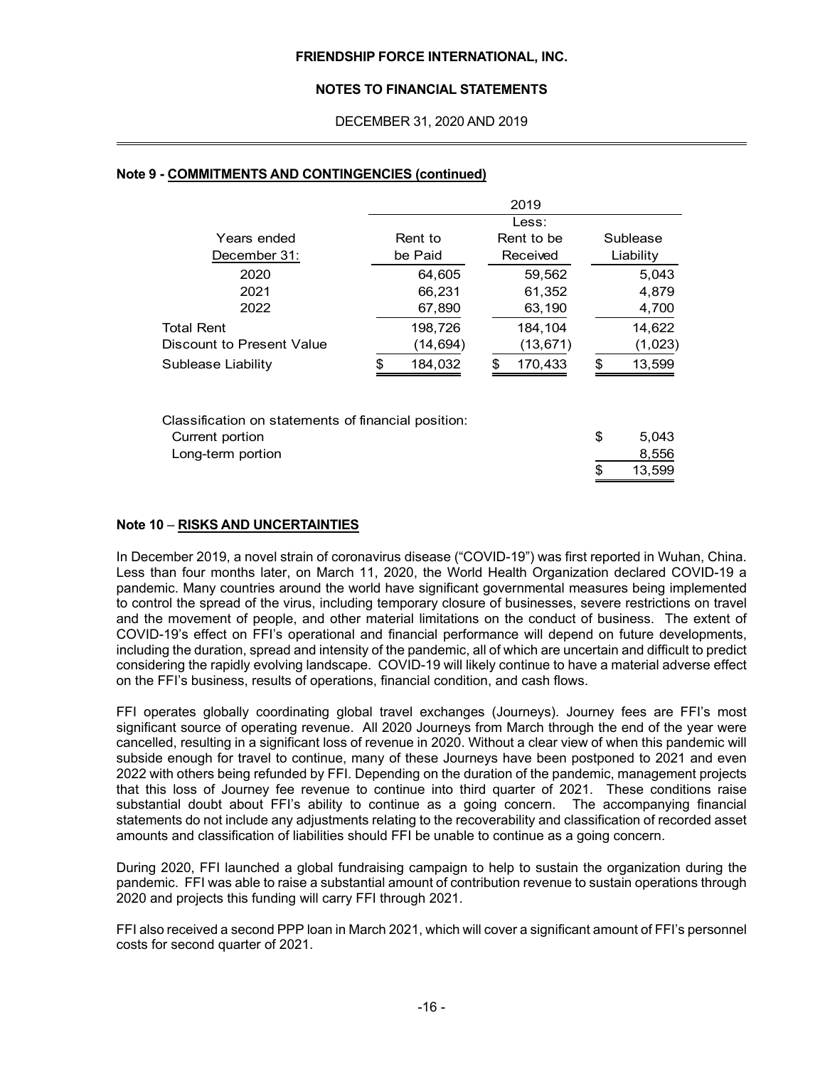### **NOTES TO FINANCIAL STATEMENTS**

DECEMBER 31, 2020 AND 2019

|                                                                                             |               | 2019          |          |                          |
|---------------------------------------------------------------------------------------------|---------------|---------------|----------|--------------------------|
|                                                                                             |               | Less:         |          |                          |
| Years ended                                                                                 | Rent to       | Rent to be    |          | Sublease                 |
| December 31:                                                                                | be Paid       | Received      |          | Liability                |
| 2020                                                                                        | 64,605        | 59,562        |          | 5,043                    |
| 2021                                                                                        | 66,231        | 61,352        |          | 4,879                    |
| 2022                                                                                        | 67,890        | 63,190        |          | 4,700                    |
| <b>Total Rent</b>                                                                           | 198,726       | 184,104       |          | 14,622                   |
| Discount to Present Value                                                                   | (14,694)      | (13,671)      |          | (1,023)                  |
| Sublease Liability                                                                          | \$<br>184,032 | 170,433<br>\$ | \$       | 13,599                   |
| Classification on statements of financial position:<br>Current portion<br>Long-term portion |               |               | \$<br>\$ | 5,043<br>8,556<br>13,599 |

### **Note 9 - COMMITMENTS AND CONTINGENCIES (continued)**

 $\overline{a}$ 

#### **Note 10** – **RISKS AND UNCERTAINTIES**

In December 2019, a novel strain of coronavirus disease ("COVID-19") was first reported in Wuhan, China. Less than four months later, on March 11, 2020, the World Health Organization declared COVID-19 a pandemic. Many countries around the world have significant governmental measures being implemented to control the spread of the virus, including temporary closure of businesses, severe restrictions on travel and the movement of people, and other material limitations on the conduct of business. The extent of COVID-19's effect on FFI's operational and financial performance will depend on future developments, including the duration, spread and intensity of the pandemic, all of which are uncertain and difficult to predict considering the rapidly evolving landscape. COVID-19 will likely continue to have a material adverse effect on the FFI's business, results of operations, financial condition, and cash flows.

FFI operates globally coordinating global travel exchanges (Journeys). Journey fees are FFI's most significant source of operating revenue. All 2020 Journeys from March through the end of the year were cancelled, resulting in a significant loss of revenue in 2020. Without a clear view of when this pandemic will subside enough for travel to continue, many of these Journeys have been postponed to 2021 and even 2022 with others being refunded by FFI. Depending on the duration of the pandemic, management projects that this loss of Journey fee revenue to continue into third quarter of 2021. These conditions raise substantial doubt about FFI's ability to continue as a going concern. The accompanying financial statements do not include any adjustments relating to the recoverability and classification of recorded asset amounts and classification of liabilities should FFI be unable to continue as a going concern.

During 2020, FFI launched a global fundraising campaign to help to sustain the organization during the pandemic. FFI was able to raise a substantial amount of contribution revenue to sustain operations through 2020 and projects this funding will carry FFI through 2021.

FFI also received a second PPP loan in March 2021, which will cover a significant amount of FFI's personnel costs for second quarter of 2021.